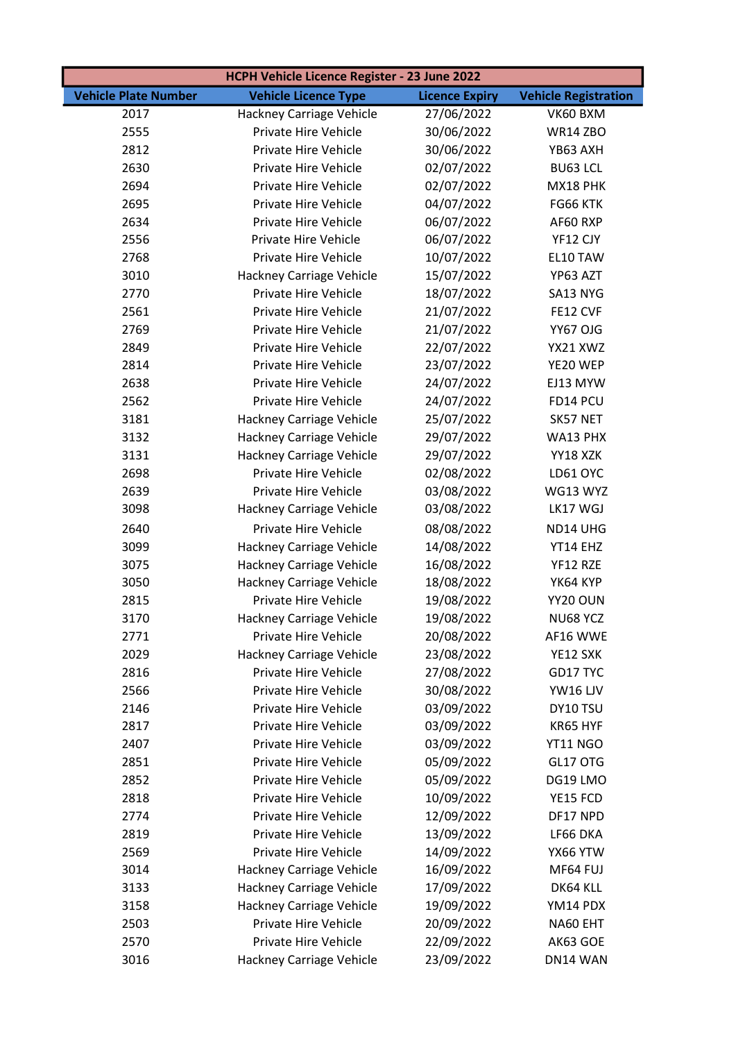| HCPH Vehicle Licence Register - 23 June 2022 |                             |                       |                             |
|----------------------------------------------|-----------------------------|-----------------------|-----------------------------|
| <b>Vehicle Plate Number</b>                  | <b>Vehicle Licence Type</b> | <b>Licence Expiry</b> | <b>Vehicle Registration</b> |
| 2017                                         | Hackney Carriage Vehicle    | 27/06/2022            | VK60 BXM                    |
| 2555                                         | Private Hire Vehicle        | 30/06/2022            | <b>WR14 ZBO</b>             |
| 2812                                         | Private Hire Vehicle        | 30/06/2022            | YB63 AXH                    |
| 2630                                         | Private Hire Vehicle        | 02/07/2022            | <b>BU63 LCL</b>             |
| 2694                                         | Private Hire Vehicle        | 02/07/2022            | MX18 PHK                    |
| 2695                                         | Private Hire Vehicle        | 04/07/2022            | FG66 KTK                    |
| 2634                                         | Private Hire Vehicle        | 06/07/2022            | AF60 RXP                    |
| 2556                                         | Private Hire Vehicle        | 06/07/2022            | YF12 CJY                    |
| 2768                                         | Private Hire Vehicle        | 10/07/2022            | EL10 TAW                    |
| 3010                                         | Hackney Carriage Vehicle    | 15/07/2022            | YP63 AZT                    |
| 2770                                         | Private Hire Vehicle        | 18/07/2022            | SA13 NYG                    |
| 2561                                         | Private Hire Vehicle        | 21/07/2022            | FE12 CVF                    |
| 2769                                         | Private Hire Vehicle        | 21/07/2022            | YY67 OJG                    |
| 2849                                         | Private Hire Vehicle        | 22/07/2022            | YX21 XWZ                    |
| 2814                                         | Private Hire Vehicle        | 23/07/2022            | YE20 WEP                    |
| 2638                                         | Private Hire Vehicle        | 24/07/2022            | EJ13 MYW                    |
| 2562                                         | Private Hire Vehicle        | 24/07/2022            | FD14 PCU                    |
| 3181                                         | Hackney Carriage Vehicle    | 25/07/2022            | SK57 NET                    |
| 3132                                         | Hackney Carriage Vehicle    | 29/07/2022            | WA13 PHX                    |
| 3131                                         | Hackney Carriage Vehicle    | 29/07/2022            | YY18 XZK                    |
| 2698                                         | Private Hire Vehicle        | 02/08/2022            | LD61 OYC                    |
| 2639                                         | Private Hire Vehicle        | 03/08/2022            | WG13 WYZ                    |
| 3098                                         | Hackney Carriage Vehicle    | 03/08/2022            | LK17 WGJ                    |
| 2640                                         | Private Hire Vehicle        | 08/08/2022            | ND14 UHG                    |
| 3099                                         | Hackney Carriage Vehicle    | 14/08/2022            | YT14 EHZ                    |
| 3075                                         | Hackney Carriage Vehicle    | 16/08/2022            | YF12 RZE                    |
| 3050                                         | Hackney Carriage Vehicle    | 18/08/2022            | YK64 KYP                    |
| 2815                                         | Private Hire Vehicle        | 19/08/2022            | YY20 OUN                    |
| 3170                                         | Hackney Carriage Vehicle    | 19/08/2022            | NU68 YCZ                    |
| 2771                                         | Private Hire Vehicle        | 20/08/2022            | AF16 WWE                    |
| 2029                                         | Hackney Carriage Vehicle    | 23/08/2022            | YE12 SXK                    |
| 2816                                         | Private Hire Vehicle        | 27/08/2022            | GD17 TYC                    |
| 2566                                         | Private Hire Vehicle        | 30/08/2022            | <b>YW16 LJV</b>             |
| 2146                                         | Private Hire Vehicle        | 03/09/2022            | DY10 TSU                    |
| 2817                                         | Private Hire Vehicle        | 03/09/2022            | KR65 HYF                    |
| 2407                                         | Private Hire Vehicle        | 03/09/2022            | YT11 NGO                    |
| 2851                                         | Private Hire Vehicle        | 05/09/2022            | GL17 OTG                    |
| 2852                                         | Private Hire Vehicle        | 05/09/2022            | DG19 LMO                    |
| 2818                                         | Private Hire Vehicle        | 10/09/2022            | YE15 FCD                    |
| 2774                                         | Private Hire Vehicle        | 12/09/2022            | DF17 NPD                    |
| 2819                                         | Private Hire Vehicle        | 13/09/2022            | LF66 DKA                    |
| 2569                                         | Private Hire Vehicle        | 14/09/2022            | YX66 YTW                    |
| 3014                                         | Hackney Carriage Vehicle    | 16/09/2022            | MF64 FUJ                    |
| 3133                                         | Hackney Carriage Vehicle    | 17/09/2022            | DK64 KLL                    |
| 3158                                         | Hackney Carriage Vehicle    | 19/09/2022            | YM14 PDX                    |
| 2503                                         | Private Hire Vehicle        | 20/09/2022            | NA60 EHT                    |
| 2570                                         | Private Hire Vehicle        | 22/09/2022            | AK63 GOE                    |
| 3016                                         | Hackney Carriage Vehicle    | 23/09/2022            | DN14 WAN                    |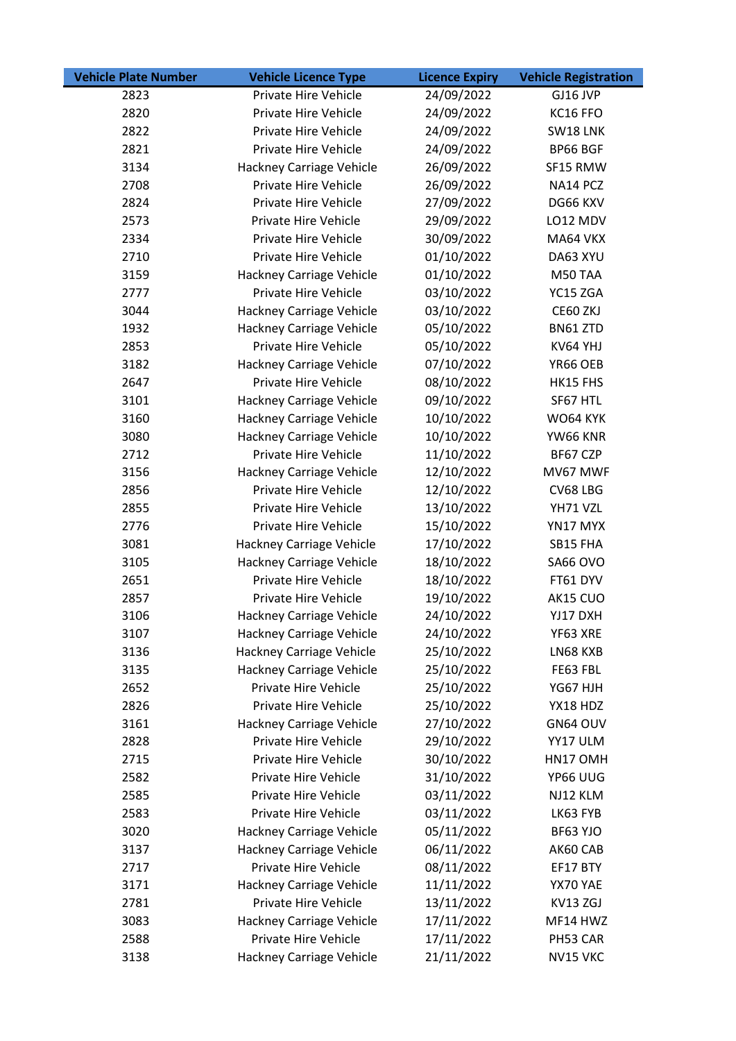| <b>Vehicle Plate Number</b> | <b>Vehicle Licence Type</b>     | <b>Licence Expiry</b> | <b>Vehicle Registration</b> |
|-----------------------------|---------------------------------|-----------------------|-----------------------------|
| 2823                        | Private Hire Vehicle            | 24/09/2022            | GJ16 JVP                    |
| 2820                        | Private Hire Vehicle            | 24/09/2022            | KC16 FFO                    |
| 2822                        | Private Hire Vehicle            | 24/09/2022            | SW18 LNK                    |
| 2821                        | Private Hire Vehicle            | 24/09/2022            | BP66 BGF                    |
| 3134                        | Hackney Carriage Vehicle        | 26/09/2022            | SF15 RMW                    |
| 2708                        | Private Hire Vehicle            | 26/09/2022            | NA14 PCZ                    |
| 2824                        | Private Hire Vehicle            | 27/09/2022            | DG66 KXV                    |
| 2573                        | Private Hire Vehicle            | 29/09/2022            | LO12 MDV                    |
| 2334                        | Private Hire Vehicle            | 30/09/2022            | MA64 VKX                    |
| 2710                        | Private Hire Vehicle            | 01/10/2022            | DA63 XYU                    |
| 3159                        | Hackney Carriage Vehicle        | 01/10/2022            | M50 TAA                     |
| 2777                        | Private Hire Vehicle            | 03/10/2022            | YC15 ZGA                    |
| 3044                        | Hackney Carriage Vehicle        | 03/10/2022            | CE60 ZKJ                    |
| 1932                        | Hackney Carriage Vehicle        | 05/10/2022            | BN61 ZTD                    |
| 2853                        | Private Hire Vehicle            | 05/10/2022            | KV64 YHJ                    |
| 3182                        | Hackney Carriage Vehicle        | 07/10/2022            | YR66 OEB                    |
| 2647                        | Private Hire Vehicle            | 08/10/2022            | HK15 FHS                    |
| 3101                        | Hackney Carriage Vehicle        | 09/10/2022            | SF67 HTL                    |
| 3160                        | Hackney Carriage Vehicle        | 10/10/2022            | WO64 KYK                    |
| 3080                        | Hackney Carriage Vehicle        | 10/10/2022            | YW66 KNR                    |
| 2712                        | Private Hire Vehicle            | 11/10/2022            | BF67 CZP                    |
| 3156                        | Hackney Carriage Vehicle        | 12/10/2022            | MV67 MWF                    |
| 2856                        | Private Hire Vehicle            | 12/10/2022            | CV68 LBG                    |
| 2855                        | Private Hire Vehicle            | 13/10/2022            | YH71 VZL                    |
| 2776                        | Private Hire Vehicle            | 15/10/2022            | YN17 MYX                    |
| 3081                        | Hackney Carriage Vehicle        | 17/10/2022            | SB15 FHA                    |
| 3105                        | Hackney Carriage Vehicle        | 18/10/2022            | SA66 OVO                    |
| 2651                        | Private Hire Vehicle            | 18/10/2022            | FT61 DYV                    |
| 2857                        | Private Hire Vehicle            | 19/10/2022            | AK15 CUO                    |
| 3106                        | Hackney Carriage Vehicle        | 24/10/2022            | YJ17 DXH                    |
| 3107                        | Hackney Carriage Vehicle        | 24/10/2022            | YF63 XRE                    |
| 3136                        | Hackney Carriage Vehicle        | 25/10/2022            | LN68 KXB                    |
| 3135                        | <b>Hackney Carriage Vehicle</b> | 25/10/2022            | FE63 FBL                    |
| 2652                        | Private Hire Vehicle            | 25/10/2022            | YG67 HJH                    |
| 2826                        | Private Hire Vehicle            | 25/10/2022            | YX18 HDZ                    |
| 3161                        | Hackney Carriage Vehicle        | 27/10/2022            | GN64 OUV                    |
| 2828                        | Private Hire Vehicle            | 29/10/2022            | YY17 ULM                    |
| 2715                        | Private Hire Vehicle            | 30/10/2022            | HN17 OMH                    |
| 2582                        | Private Hire Vehicle            | 31/10/2022            | YP66 UUG                    |
| 2585                        | Private Hire Vehicle            | 03/11/2022            | NJ12 KLM                    |
| 2583                        | Private Hire Vehicle            | 03/11/2022            | LK63 FYB                    |
| 3020                        | Hackney Carriage Vehicle        | 05/11/2022            | BF63 YJO                    |
| 3137                        | Hackney Carriage Vehicle        | 06/11/2022            | AK60 CAB                    |
| 2717                        | Private Hire Vehicle            | 08/11/2022            | EF17 BTY                    |
| 3171                        | Hackney Carriage Vehicle        | 11/11/2022            | YX70 YAE                    |
| 2781                        | Private Hire Vehicle            | 13/11/2022            | KV13 ZGJ                    |
| 3083                        | Hackney Carriage Vehicle        | 17/11/2022            | MF14 HWZ                    |
| 2588                        | Private Hire Vehicle            | 17/11/2022            | PH53 CAR                    |
| 3138                        | Hackney Carriage Vehicle        | 21/11/2022            | NV15 VKC                    |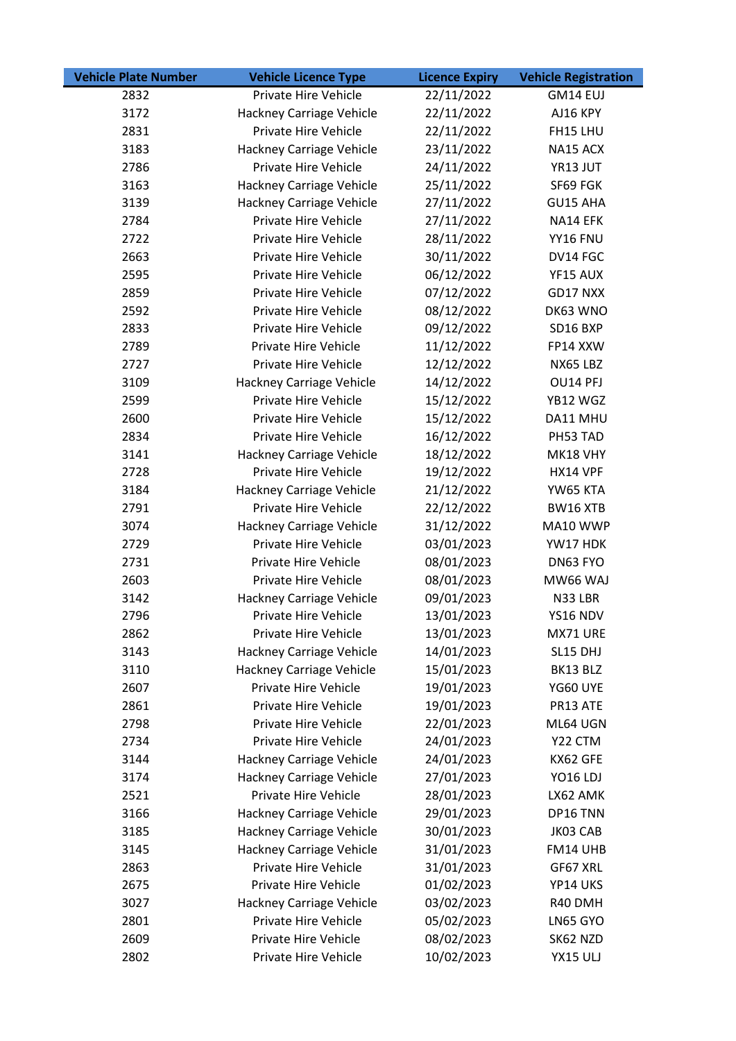| <b>Vehicle Plate Number</b> | <b>Vehicle Licence Type</b>     | <b>Licence Expiry</b> | <b>Vehicle Registration</b> |
|-----------------------------|---------------------------------|-----------------------|-----------------------------|
| 2832                        | Private Hire Vehicle            | 22/11/2022            | GM14 EUJ                    |
| 3172                        | Hackney Carriage Vehicle        | 22/11/2022            | AJ16 KPY                    |
| 2831                        | Private Hire Vehicle            | 22/11/2022            | FH15 LHU                    |
| 3183                        | Hackney Carriage Vehicle        | 23/11/2022            | NA15 ACX                    |
| 2786                        | Private Hire Vehicle            | 24/11/2022            | YR13 JUT                    |
| 3163                        | Hackney Carriage Vehicle        | 25/11/2022            | SF69 FGK                    |
| 3139                        | <b>Hackney Carriage Vehicle</b> | 27/11/2022            | GU15 AHA                    |
| 2784                        | Private Hire Vehicle            | 27/11/2022            | NA14 EFK                    |
| 2722                        | Private Hire Vehicle            | 28/11/2022            | YY16 FNU                    |
| 2663                        | Private Hire Vehicle            | 30/11/2022            | DV14 FGC                    |
| 2595                        | Private Hire Vehicle            | 06/12/2022            | YF15 AUX                    |
| 2859                        | Private Hire Vehicle            | 07/12/2022            | GD17 NXX                    |
| 2592                        | Private Hire Vehicle            | 08/12/2022            | DK63 WNO                    |
| 2833                        | Private Hire Vehicle            | 09/12/2022            | SD16 BXP                    |
| 2789                        | Private Hire Vehicle            | 11/12/2022            | FP14 XXW                    |
| 2727                        | Private Hire Vehicle            | 12/12/2022            | NX65 LBZ                    |
| 3109                        | Hackney Carriage Vehicle        | 14/12/2022            | OU14 PFJ                    |
| 2599                        | Private Hire Vehicle            | 15/12/2022            | YB12 WGZ                    |
| 2600                        | Private Hire Vehicle            | 15/12/2022            | DA11 MHU                    |
| 2834                        | Private Hire Vehicle            | 16/12/2022            | PH53 TAD                    |
| 3141                        | Hackney Carriage Vehicle        | 18/12/2022            | MK18 VHY                    |
| 2728                        | Private Hire Vehicle            | 19/12/2022            | HX14 VPF                    |
| 3184                        | Hackney Carriage Vehicle        | 21/12/2022            | YW65 KTA                    |
| 2791                        | Private Hire Vehicle            | 22/12/2022            | BW16 XTB                    |
| 3074                        | Hackney Carriage Vehicle        | 31/12/2022            | MA10 WWP                    |
| 2729                        | Private Hire Vehicle            | 03/01/2023            | YW17 HDK                    |
| 2731                        | Private Hire Vehicle            | 08/01/2023            | DN63 FYO                    |
| 2603                        | Private Hire Vehicle            | 08/01/2023            | MW66 WAJ                    |
| 3142                        | Hackney Carriage Vehicle        | 09/01/2023            | N33 LBR                     |
| 2796                        | Private Hire Vehicle            | 13/01/2023            | YS16 NDV                    |
| 2862                        | Private Hire Vehicle            | 13/01/2023            | MX71 URE                    |
| 3143                        | <b>Hackney Carriage Vehicle</b> | 14/01/2023            | SL15 DHJ                    |
| 3110                        | Hackney Carriage Vehicle        | 15/01/2023            | BK13 BLZ                    |
| 2607                        | Private Hire Vehicle            | 19/01/2023            | YG60 UYE                    |
| 2861                        | Private Hire Vehicle            | 19/01/2023            | PR13 ATE                    |
| 2798                        | Private Hire Vehicle            | 22/01/2023            | ML64 UGN                    |
| 2734                        | Private Hire Vehicle            | 24/01/2023            | Y22 CTM                     |
| 3144                        | Hackney Carriage Vehicle        | 24/01/2023            | KX62 GFE                    |
| 3174                        | <b>Hackney Carriage Vehicle</b> | 27/01/2023            | YO16 LDJ                    |
| 2521                        | Private Hire Vehicle            | 28/01/2023            | LX62 AMK                    |
| 3166                        | Hackney Carriage Vehicle        | 29/01/2023            | DP16 TNN                    |
| 3185                        | Hackney Carriage Vehicle        | 30/01/2023            | JK03 CAB                    |
| 3145                        | Hackney Carriage Vehicle        | 31/01/2023            | FM14 UHB                    |
| 2863                        | Private Hire Vehicle            | 31/01/2023            | GF67 XRL                    |
| 2675                        | Private Hire Vehicle            | 01/02/2023            | YP14 UKS                    |
| 3027                        | Hackney Carriage Vehicle        | 03/02/2023            | R40 DMH                     |
| 2801                        | Private Hire Vehicle            | 05/02/2023            | LN65 GYO                    |
| 2609                        | Private Hire Vehicle            | 08/02/2023            | SK62 NZD                    |
| 2802                        | Private Hire Vehicle            | 10/02/2023            | YX15 ULJ                    |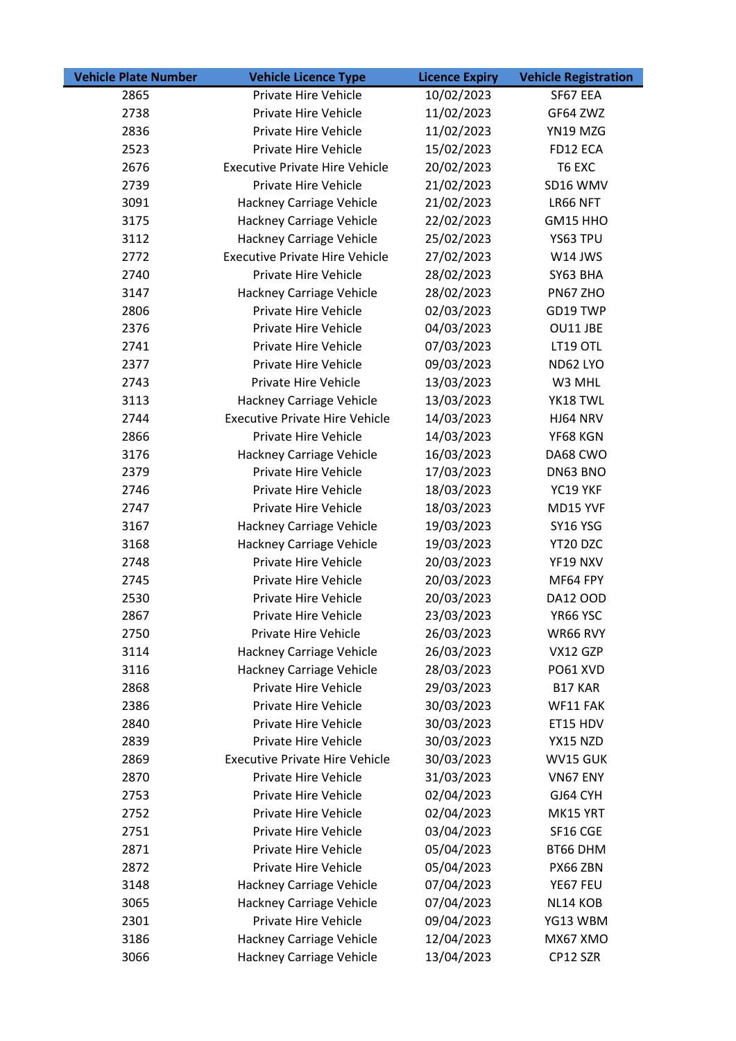| <b>Vehicle Plate Number</b> | <b>Vehicle Licence Type</b>           | <b>Licence Expiry</b> | <b>Vehicle Registration</b> |
|-----------------------------|---------------------------------------|-----------------------|-----------------------------|
| 2865                        | Private Hire Vehicle                  | 10/02/2023            | SF67 EEA                    |
| 2738                        | Private Hire Vehicle                  | 11/02/2023            | GF64 ZWZ                    |
| 2836                        | Private Hire Vehicle                  | 11/02/2023            | YN19 MZG                    |
| 2523                        | Private Hire Vehicle                  | 15/02/2023            | FD12 ECA                    |
| 2676                        | <b>Executive Private Hire Vehicle</b> | 20/02/2023            | T6 EXC                      |
| 2739                        | Private Hire Vehicle                  | 21/02/2023            | SD16 WMV                    |
| 3091                        | Hackney Carriage Vehicle              | 21/02/2023            | LR66 NFT                    |
| 3175                        | Hackney Carriage Vehicle              | 22/02/2023            | GM15 HHO                    |
| 3112                        | Hackney Carriage Vehicle              | 25/02/2023            | YS63 TPU                    |
| 2772                        | <b>Executive Private Hire Vehicle</b> | 27/02/2023            | W14 JWS                     |
| 2740                        | Private Hire Vehicle                  | 28/02/2023            | SY63 BHA                    |
| 3147                        | Hackney Carriage Vehicle              | 28/02/2023            | PN67 ZHO                    |
| 2806                        | Private Hire Vehicle                  | 02/03/2023            | GD19 TWP                    |
| 2376                        | Private Hire Vehicle                  | 04/03/2023            | OU11 JBE                    |
| 2741                        | Private Hire Vehicle                  | 07/03/2023            | LT19 OTL                    |
| 2377                        | Private Hire Vehicle                  | 09/03/2023            | ND62 LYO                    |
| 2743                        | Private Hire Vehicle                  | 13/03/2023            | W3 MHL                      |
| 3113                        | Hackney Carriage Vehicle              | 13/03/2023            | YK18 TWL                    |
| 2744                        | <b>Executive Private Hire Vehicle</b> | 14/03/2023            | HJ64 NRV                    |
| 2866                        | Private Hire Vehicle                  | 14/03/2023            | YF68 KGN                    |
| 3176                        | Hackney Carriage Vehicle              | 16/03/2023            | DA68 CWO                    |
| 2379                        | Private Hire Vehicle                  | 17/03/2023            | DN63 BNO                    |
| 2746                        | Private Hire Vehicle                  | 18/03/2023            | YC19 YKF                    |
| 2747                        | Private Hire Vehicle                  | 18/03/2023            | MD15 YVF                    |
| 3167                        | Hackney Carriage Vehicle              | 19/03/2023            | SY16 YSG                    |
| 3168                        | Hackney Carriage Vehicle              | 19/03/2023            | YT20 DZC                    |
| 2748                        | Private Hire Vehicle                  | 20/03/2023            | YF19 NXV                    |
| 2745                        | Private Hire Vehicle                  | 20/03/2023            | MF64 FPY                    |
| 2530                        | Private Hire Vehicle                  | 20/03/2023            | DA12 OOD                    |
| 2867                        | Private Hire Vehicle                  | 23/03/2023            | YR66 YSC                    |
| 2750                        | Private Hire Vehicle                  | 26/03/2023            | WR66 RVY                    |
| 3114                        | Hackney Carriage Vehicle              | 26/03/2023            | VX12 GZP                    |
| 3116                        | Hackney Carriage Vehicle              | 28/03/2023            | PO61 XVD                    |
| 2868                        | Private Hire Vehicle                  | 29/03/2023            | B17 KAR                     |
| 2386                        | Private Hire Vehicle                  | 30/03/2023            | WF11 FAK                    |
| 2840                        | Private Hire Vehicle                  | 30/03/2023            | ET15 HDV                    |
| 2839                        | Private Hire Vehicle                  | 30/03/2023            | YX15 NZD                    |
| 2869                        | <b>Executive Private Hire Vehicle</b> | 30/03/2023            | WV15 GUK                    |
| 2870                        | Private Hire Vehicle                  | 31/03/2023            | VN67 ENY                    |
| 2753                        | Private Hire Vehicle                  | 02/04/2023            | GJ64 CYH                    |
| 2752                        | Private Hire Vehicle                  | 02/04/2023            | MK15 YRT                    |
| 2751                        | Private Hire Vehicle                  | 03/04/2023            | SF16 CGE                    |
| 2871                        | Private Hire Vehicle                  | 05/04/2023            | BT66 DHM                    |
| 2872                        | Private Hire Vehicle                  | 05/04/2023            | PX66 ZBN                    |
| 3148                        | Hackney Carriage Vehicle              | 07/04/2023            | YE67 FEU                    |
| 3065                        | Hackney Carriage Vehicle              | 07/04/2023            | NL14 KOB                    |
| 2301                        | Private Hire Vehicle                  | 09/04/2023            | YG13 WBM                    |
| 3186                        | Hackney Carriage Vehicle              | 12/04/2023            | MX67 XMO                    |
| 3066                        | Hackney Carriage Vehicle              | 13/04/2023            | CP12 SZR                    |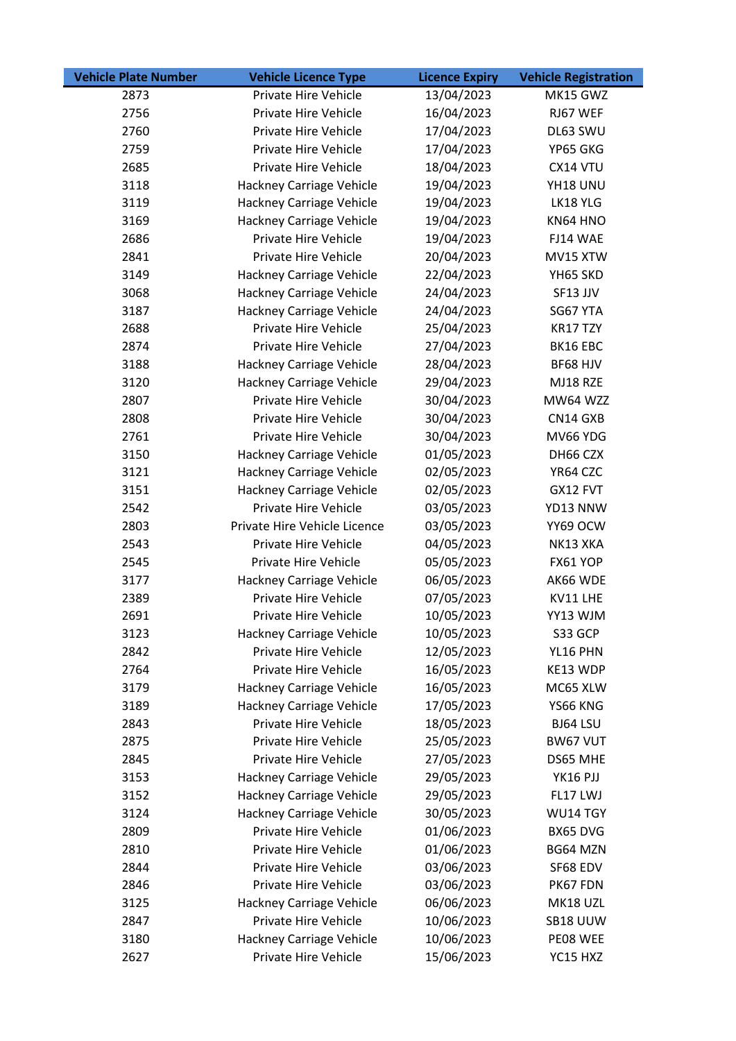| <b>Vehicle Plate Number</b> | <b>Vehicle Licence Type</b>     | <b>Licence Expiry</b> | <b>Vehicle Registration</b> |
|-----------------------------|---------------------------------|-----------------------|-----------------------------|
| 2873                        | Private Hire Vehicle            | 13/04/2023            | MK15 GWZ                    |
| 2756                        | Private Hire Vehicle            | 16/04/2023            | RJ67 WEF                    |
| 2760                        | Private Hire Vehicle            | 17/04/2023            | DL63 SWU                    |
| 2759                        | Private Hire Vehicle            | 17/04/2023            | YP65 GKG                    |
| 2685                        | Private Hire Vehicle            | 18/04/2023            | CX14 VTU                    |
| 3118                        | Hackney Carriage Vehicle        | 19/04/2023            | YH18 UNU                    |
| 3119                        | Hackney Carriage Vehicle        | 19/04/2023            | LK18 YLG                    |
| 3169                        | <b>Hackney Carriage Vehicle</b> | 19/04/2023            | KN64 HNO                    |
| 2686                        | Private Hire Vehicle            | 19/04/2023            | FJ14 WAE                    |
| 2841                        | Private Hire Vehicle            | 20/04/2023            | MV15 XTW                    |
| 3149                        | Hackney Carriage Vehicle        | 22/04/2023            | YH65 SKD                    |
| 3068                        | Hackney Carriage Vehicle        | 24/04/2023            | SF13 JJV                    |
| 3187                        | Hackney Carriage Vehicle        | 24/04/2023            | SG67 YTA                    |
| 2688                        | Private Hire Vehicle            | 25/04/2023            | KR17 TZY                    |
| 2874                        | Private Hire Vehicle            | 27/04/2023            | BK16 EBC                    |
| 3188                        | Hackney Carriage Vehicle        | 28/04/2023            | BF68 HJV                    |
| 3120                        | Hackney Carriage Vehicle        | 29/04/2023            | MJ18 RZE                    |
| 2807                        | Private Hire Vehicle            | 30/04/2023            | <b>MW64 WZZ</b>             |
| 2808                        | Private Hire Vehicle            | 30/04/2023            | CN14 GXB                    |
| 2761                        | Private Hire Vehicle            | 30/04/2023            | MV66 YDG                    |
| 3150                        | Hackney Carriage Vehicle        | 01/05/2023            | DH66 CZX                    |
| 3121                        | Hackney Carriage Vehicle        | 02/05/2023            | YR64 CZC                    |
| 3151                        | Hackney Carriage Vehicle        | 02/05/2023            | GX12 FVT                    |
| 2542                        | Private Hire Vehicle            | 03/05/2023            | YD13 NNW                    |
| 2803                        | Private Hire Vehicle Licence    | 03/05/2023            | YY69 OCW                    |
| 2543                        | Private Hire Vehicle            | 04/05/2023            | NK13 XKA                    |
| 2545                        | Private Hire Vehicle            | 05/05/2023            | FX61 YOP                    |
| 3177                        | <b>Hackney Carriage Vehicle</b> | 06/05/2023            | AK66 WDE                    |
| 2389                        | Private Hire Vehicle            | 07/05/2023            | KV11 LHE                    |
| 2691                        | Private Hire Vehicle            | 10/05/2023            | YY13 WJM                    |
| 3123                        | Hackney Carriage Vehicle        | 10/05/2023            | S33 GCP                     |
| 2842                        | Private Hire Vehicle            | 12/05/2023            | YL16 PHN                    |
| 2764                        | Private Hire Vehicle            | 16/05/2023            | KE13 WDP                    |
| 3179                        | Hackney Carriage Vehicle        | 16/05/2023            | MC65 XLW                    |
| 3189                        | <b>Hackney Carriage Vehicle</b> | 17/05/2023            | YS66 KNG                    |
| 2843                        | Private Hire Vehicle            | 18/05/2023            | BJ64 LSU                    |
| 2875                        | Private Hire Vehicle            | 25/05/2023            | BW67 VUT                    |
| 2845                        | Private Hire Vehicle            | 27/05/2023            | DS65 MHE                    |
| 3153                        | <b>Hackney Carriage Vehicle</b> | 29/05/2023            | YK16 PJJ                    |
| 3152                        | Hackney Carriage Vehicle        | 29/05/2023            | FL17 LWJ                    |
| 3124                        | Hackney Carriage Vehicle        | 30/05/2023            | WU14 TGY                    |
| 2809                        | Private Hire Vehicle            | 01/06/2023            | BX65 DVG                    |
| 2810                        | Private Hire Vehicle            | 01/06/2023            | BG64 MZN                    |
| 2844                        | Private Hire Vehicle            | 03/06/2023            | SF68 EDV                    |
| 2846                        | Private Hire Vehicle            | 03/06/2023            | PK67 FDN                    |
| 3125                        | Hackney Carriage Vehicle        | 06/06/2023            | MK18 UZL                    |
| 2847                        | Private Hire Vehicle            | 10/06/2023            | SB18 UUW                    |
| 3180                        | Hackney Carriage Vehicle        | 10/06/2023            | PE08 WEE                    |
| 2627                        | Private Hire Vehicle            | 15/06/2023            | YC15 HXZ                    |